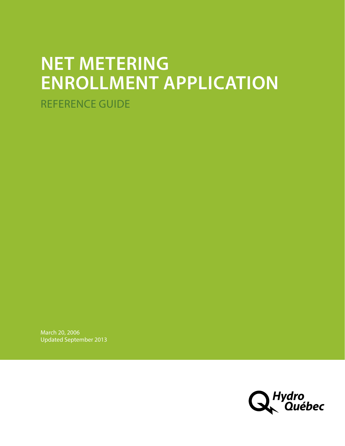# **NET METERING ENROLLMENT APPLICATION**  REFERENCE GUIDE

March 20, 2006 Updated September 2013

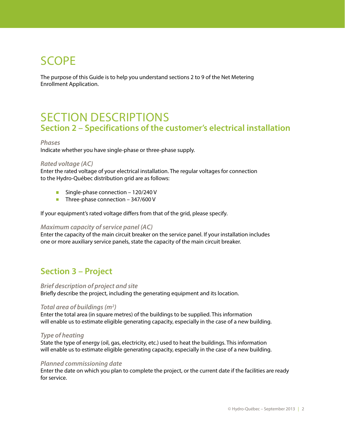## SCOPE

The purpose of this Guide is to help you understand sections 2 to 9 of the Net Metering Enrollment Application.

## SECTION DESCRIPTIONS **Section 2 – Specifications of the customer's electrical installation**

#### *Phases*

Indicate whether you have single-phase or three-phase supply.

#### *Rated voltage (AC)*

Enter the rated voltage of your electrical installation. The regular voltages for connection to the Hydro-Québec distribution grid are as follows:

- Single-phase connection 120/240 V
- Three-phase connection  $-347/600$  V

If your equipment's rated voltage differs from that of the grid, please specify.

#### *Maximum capacity of service panel (AC)*

Enter the capacity of the main circuit breaker on the service panel. If your installation includes one or more auxiliary service panels, state the capacity of the main circuit breaker.

### **Section 3 – Project**

#### *Brief description of project and site*

Briefly describe the project, including the generating equipment and its location.

#### *Total area of buildings (m2 )*

Enter the total area (in square metres) of the buildings to be supplied. This information will enable us to estimate eligible generating capacity, especially in the case of a new building.

#### *Type of heating*

State the type of energy (oil, gas, electricity, etc.) used to heat the buildings. This information will enable us to estimate eligible generating capacity, especially in the case of a new building.

#### *Planned commissioning date*

Enter the date on which you plan to complete the project, or the current date if the facilities are ready for service.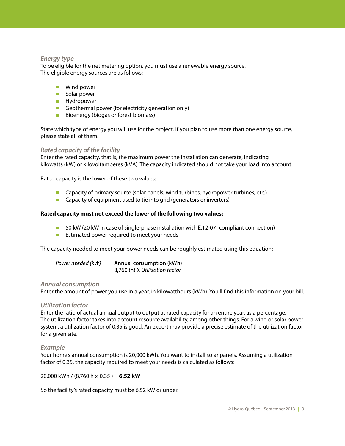#### *Energy type*

To be eligible for the net metering option, you must use a renewable energy source. The eligible energy sources are as follows:

- **Wind power**
- Solar power
- **Hydropower**
- Geothermal power (for electricity generation only)
- Bioenergy (biogas or forest biomass)

State which type of energy you will use for the project. If you plan to use more than one energy source, please state all of them.

#### *Rated capacity of the facility*

Enter the rated capacity, that is, the maximum power the installation can generate, indicating kilowatts (kW) or kilovoltamperes (kVA). The capacity indicated should not take your load into account.

Rated capacity is the lower of these two values:

- **Capacity of primary source (solar panels, wind turbines, hydropower turbines, etc.)**
- Capacity of equipment used to tie into grid (generators or inverters)

#### **Rated capacity must not exceed the lower of the following two values:**

- 50 kW (20 kW in case of single-phase installation with E.12-07–compliant connection)
- **Extimated power required to meet your needs**

The capacity needed to meet your power needs can be roughly estimated using this equation:

Power needed  $(kW) =$  Annual consumption (kWh) 8,760 (h) X Utilization factor

#### *Annual consumption*

Enter the amount of power you use in a year, in kilowatthours (kWh). You'll find this information on your bill.

#### *Utilization factor*

Enter the ratio of actual annual output to output at rated capacity for an entire year, as a percentage. The utilization factor takes into account resource availability, among other things. For a wind or solar power system, a utilization factor of 0.35 is good. An expert may provide a precise estimate of the utilization factor for a given site.

#### *Example*

Your home's annual consumption is 20,000 kWh. You want to install solar panels. Assuming a utilization factor of 0.35, the capacity required to meet your needs is calculated as follows:

#### 20,000 kWh / (8,760 h × 0.35 ) = **6.52 kW**

So the facility's rated capacity must be 6.52 kW or under.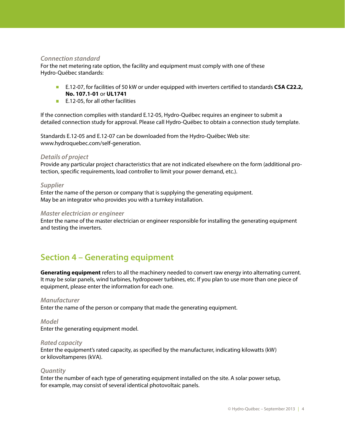#### *Connection standard*

For the net metering rate option, the facility and equipment must comply with one of these Hydro-Québec standards:

- E.12-07, for facilities of 50 kW or under equipped with inverters certified to standards **CSA C22.2**, **No. 107.1-01** or **UL1741**
- E.12-05, for all other facilities

If the connection complies with standard E.12-05, Hydro-Québec requires an engineer to submit a detailed connection study for approval. Please call Hydro-Québec to obtain a connection study template.

Standards E.12-05 and E.12-07 can be downloaded from the Hydro-Québec Web site: www.hydroquebec.com/self-generation.

#### *Details of project*

Provide any particular project characteristics that are not indicated elsewhere on the form (additional protection, specific requirements, load controller to limit your power demand, etc.).

#### *Supplier*

Enter the name of the person or company that is supplying the generating equipment. May be an integrator who provides you with a turnkey installation.

#### *Master electrician or engineer*

Enter the name of the master electrician or engineer responsible for installing the generating equipment and testing the inverters.

## **Section 4 – Generating equipment**

**Generating equipment** refers to all the machinery needed to convert raw energy into alternating current. It may be solar panels, wind turbines, hydropower turbines, etc. If you plan to use more than one piece of equipment, please enter the information for each one.

#### *Manufacturer*

Enter the name of the person or company that made the generating equipment.

*Model*  Enter the generating equipment model.

#### *Rated capacity*

Enter the equipment's rated capacity, as specified by the manufacturer, indicating kilowatts (kW) or kilovoltamperes (kVA).

#### *Quantity*

Enter the number of each type of generating equipment installed on the site. A solar power setup, for example, may consist of several identical photovoltaic panels.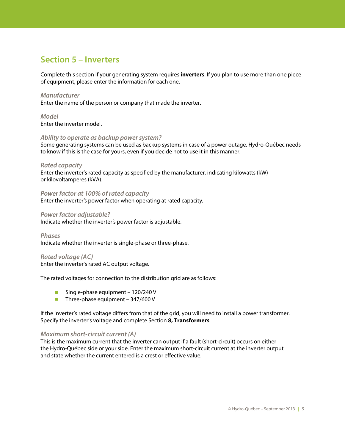## **Section 5 – Inverters**

Complete this section if your generating system requires **inverters**. If you plan to use more than one piece of equipment, please enter the information for each one.

#### *Manufacturer*

Enter the name of the person or company that made the inverter.

#### *Model*  Enter the inverter model.

#### *Ability to operate as backup power system?*

Some generating systems can be used as backup systems in case of a power outage. Hydro-Québec needs to know if this is the case for yours, even if you decide not to use it in this manner.

#### *Rated capacity*

Enter the inverter's rated capacity as specified by the manufacturer, indicating kilowatts (kW) or kilovoltamperes (kVA).

#### *Power factor at 100% of rated capacity*

Enter the inverter's power factor when operating at rated capacity.

#### *Power factor adjustable?*

Indicate whether the inverter's power factor is adjustable.

*Phases*  Indicate whether the inverter is single-phase or three-phase.

#### *Rated voltage (AC)*

Enter the inverter's rated AC output voltage.

The rated voltages for connection to the distribution grid are as follows:

- Single-phase equipment 120/240 V
- Three-phase equipment  $-347/600$  V

If the inverter's rated voltage differs from that of the grid, you will need to install a power transformer. Specify the inverter's voltage and complete Section **8, Transformers**.

#### *Maximum short-circuit current (A)*

This is the maximum current that the inverter can output if a fault (short-circuit) occurs on either the Hydro-Québec side or your side. Enter the maximum short-circuit current at the inverter output and state whether the current entered is a crest or effective value.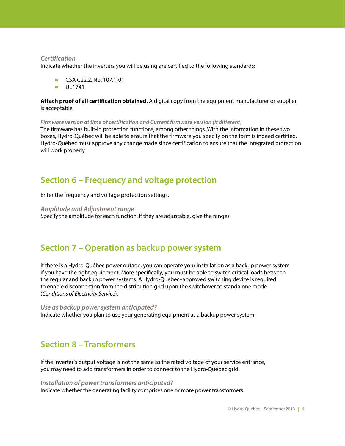#### *Certification*

Indicate whether the inverters you will be using are certified to the following standards:

- CSA C22.2, No. 107.1-01
- **UL1741**

**Attach proof of all certification obtained.** A digital copy from the equipment manufacturer or supplier is acceptable.

*Firmware version at time of certification and Current firmware version (if different)* 

The firmware has built-in protection functions, among other things. With the information in these two boxes, Hydro-Québec will be able to ensure that the firmware you specify on the form is indeed certified. Hydro-Québec must approve any change made since certification to ensure that the integrated protection will work properly.

### **Section 6 – Frequency and voltage protection**

Enter the frequency and voltage protection settings.

*Amplitude and Adjustment range*  Specify the amplitude for each function. If they are adjustable, give the ranges.

### **Section 7 – Operation as backup power system**

If there is a Hydro-Québec power outage, you can operate your installation as a backup power system if you have the right equipment. More specifically, you must be able to switch critical loads between the regular and backup power systems. A Hydro-Quebec–approved switching device is required to enable disconnection from the distribution grid upon the switchover to standalone mode (*Conditions of Electricity Service*).

*Use as backup power system anticipated?*  Indicate whether you plan to use your generating equipment as a backup power system.

## **Section 8 – Transformers**

If the inverter's output voltage is not the same as the rated voltage of your service entrance, you may need to add transformers in order to connect to the Hydro-Quebec grid.

#### *Installation of power transformers anticipated?*

Indicate whether the generating facility comprises one or more power transformers.